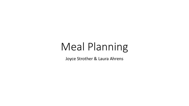# Meal Planning

Joyce Strother & Laura Ahrens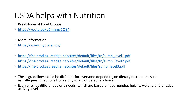# USDA helps with Nutrition

- Breakdown of Food Groups
- [https://youtu.be/-J1hmmy1OB4](http://Brehttps:/youtu.be/-J1hmmy1OB4)
- More information
- <https://www.myplate.gov/>
- [https://fns-prod.azureedge.net/sites/default/files/tn/sump\\_level1.pdf](https://fns-prod.azureedge.net/sites/default/files/tn/sump_level1.pdf)
- [https://fns-prod.azureedge.net/sites/default/files/tn/sump\\_level2.pdf](https://fns-prod.azureedge.net/sites/default/files/tn/sump_level2.pdf)
- [https://fns-prod.azureedge.net/sites/default/files/sump\\_level3.pdf](https://fns-prod.azureedge.net/sites/default/files/sump_level3.pdf)
- These guidelines could be different for everyone depending on dietary restrictions such as: allergies, directions from a physician, or personal choice.
- Everyone has different caloric needs, which are based on age, gender, height, weight, and physical activity level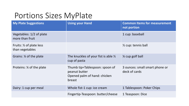# Portions Sizes MyPlate

| <b>My Plate Suggestions</b>                            | <b>Using your Hand</b>                                                                    | <b>Common Items for measurement</b><br>not portion |  |
|--------------------------------------------------------|-------------------------------------------------------------------------------------------|----------------------------------------------------|--|
| Vegetables: 1/2 of plate<br>more than fruit            |                                                                                           | 1 cup: baseball                                    |  |
| Fruits: $\frac{1}{2}$ of plate less<br>than vegetables |                                                                                           | $\frac{1}{2}$ cup: tennis ball                     |  |
| Grains: % of the plate                                 | The knuckles of your fist is able $\frac{1}{2}$<br>cup of pasta                           | 1/4 cup golf ball                                  |  |
| Proteins: 1/4 of the plate                             | Thumb tip=Tablespoon: spoon of<br>peanut butter<br>Opened palm of hand: chicken<br>breast | 3 ounces: small smart phone or<br>deck of cards    |  |
| Dairy: 1 cup per meal                                  | Whole fist-1 cup: ice cream                                                               | 1 Tablespoon: Poker Chips                          |  |
|                                                        | Fingertip-Teaspoon: butter/cheese                                                         | 1 Teaspoon: Dice                                   |  |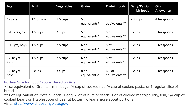| Age                 | <b>Fruit</b> | <b>Vegetables</b> | <b>Grains</b>         | <b>Protein foods</b>     | Dairy/Calciu<br>m-rich foods | <b>Oils</b><br><b>Allowance</b> |
|---------------------|--------------|-------------------|-----------------------|--------------------------|------------------------------|---------------------------------|
| $4 - 8$ yrs         | 1 1.5 cups   | 1.5 cups          | 5 oz.<br>equivalents* | 4 oz.<br>equivalents**   | 2.5 cups                     | 4 teaspoons                     |
| 9-13 yrs girls      | 1.5 cups     | 2 cups            | 5 oz.<br>equivalents* | 5 oz.<br>equivalents**   | 3 cups                       | 5 teaspoons                     |
| 9-13 yrs, boys      | 1.5 cups     | 2.5 cups          | 6 oz.<br>equivalents* | 5 oz.<br>equivalents**   | 3 cups                       | 5 teaspoons                     |
| 14-18 yrs,<br>girls | 1.5 cups     | 2.5 cups          | 6 oz.<br>equivalents* | 5 oz.<br>equivalents**   | 3 cups                       | 5 teaspoons                     |
| 14-18 yrs,<br>boys  | 2 cups       | 3 cups            | 8 oz.<br>equivalents* | 6.5 oz.<br>equivalents** | 3 cups                       | 6 teaspoons                     |

**Portion Size for Food Groups Based on Age**

\*1 oz equivalent of Grains: 1 mini bagel, ½ cup of cooked rice, ½ cup of cooked pasta, or 1 regular slice of bread.

\*\*1 oz equivalent of Protein Foods: 1 egg, ½ oz of nuts or seeds, 1 oz of cooked meat/poultry, fish, 1/4 cup of cooked beans or 1 tablespoon of peanut butter. To learn more about portions visit: <https://www.choosemyplate.gov/>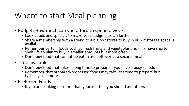# Where to start Meal planning

- Budget: How much can you afford to spend a week.
	- Look at ads and specials to make your budget stretch farther
	- Share a membership with a friend to a big box stores to buy in bulk if storage space is available
	- Remember certain foods such as fresh fruits and vegetables and milk have shorter shelf life so plan to buy in smaller amounts but more often
	- Don't buy food that cannot be eaten as a leftover as a second meal.
- Time available
	- Don't buy food that takes a long time to prepare if you have a busy schedule
	- Remember that prepared/processed foods may take less time to prepare but typically cost more
- Preferred Foods
	- If you are cooking for more than yourself then you should ask others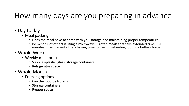## How many days are you preparing in advance

- Day to day
	- Meal packing
		- Does the meal have to come with you-storage and maintaining proper temperature
		- Be mindful of others if using a microwave. Frozen meals that take extended time (5-10 minutes) may prevent others having time to use it. Reheating food is a better choice.
- Whole Week
	- Weekly meal prep
		- Supplies-plastic, glass, storage containers
		- Refrigerator space
- Whole Month
	- Freezing options
		- Can the food be frozen?
		- Storage containers
		- Freezer space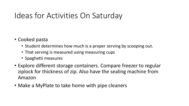## Ideas for Activities On Saturday

- Cooked pasta
	- Student determines how much is a proper serving by scooping out.
	- That serving is measured using measuring cups
	- Spaghetti measures
- Explore different storage containers. Compare freezer to regular ziplock for thickness of zip. Also have the sealing machine from Amazon
- Make a MyPlate to take home with pipe cleaners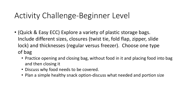# Activity Challenge-Beginner Level

- (Quick & Easy ECC) Explore a variety of plastic storage bags. Include different sizes, closures (twist tie, fold flap, zipper, slide lock) and thicknesses (regular versus freezer). Choose one type of bag
	- Practice opening and closing bag, without food in it and placing food into bag and then closing it
	- Discuss why food needs to be covered.
	- Plan a simple healthy snack option-discuss what needed and portion size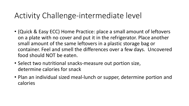#### Activity Challenge-intermediate level

- (Quick & Easy ECC) Home Practice: place a small amount of leftovers on a plate with no cover and put it in the refrigerator. Place another small amount of the same leftovers in a plastic storage bag or container. Feel and smell the differences over a few days. Uncovered food should NOT be eaten.
- Select two nutritional snacks-measure out portion size, determine calories for snack
- Plan an individual sized meal-lunch or supper, determine portion and calories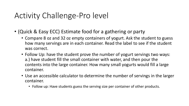#### Activity Challenge-Pro level

- (Quick & Easy ECC) Estimate food for a gathering or party
	- Compare 8 oz and 32 oz empty containers of yogurt. Ask the student to guess how many servings are in each container. Read the label to see if the student was correct.
	- Follow Up: have the student prove the number of yogurt servings two ways: a.) have student fill the small container with water, and then pour the contents into the large container. How many small yogurts would fill a large container.
	- Use an accessible calculator to determine the number of servings in the larger container.
		- Follow up: Have students guess the serving size per container of other products.